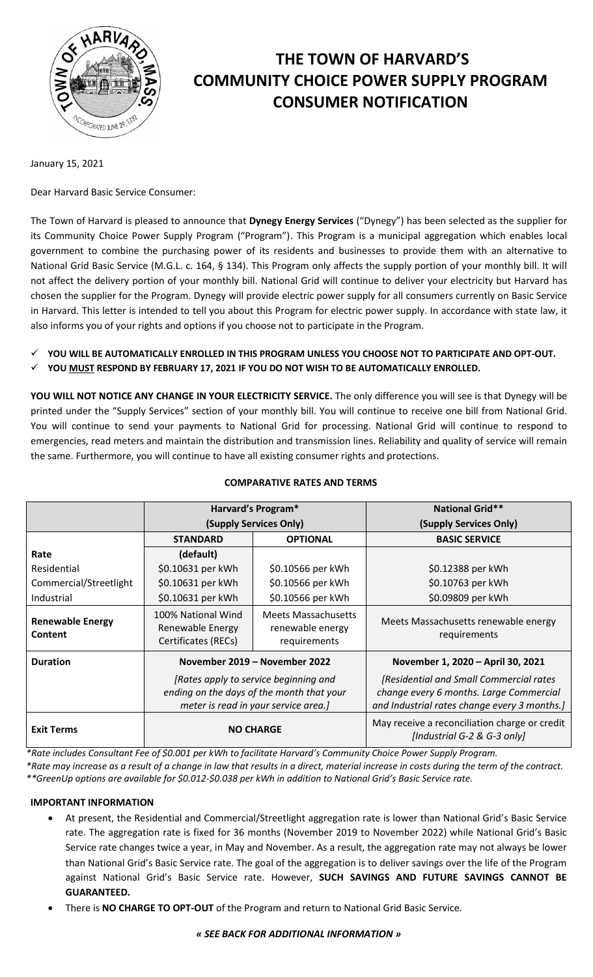

# **THE TOWN OF HARVARD'S COMMUNITY CHOICE POWER SUPPLY PROGRAM CONSUMER NOTIFICATION**

January 15, 2021

Dear Harvard Basic Service Consumer:

The Town of Harvard is pleased to announce that **Dynegy Energy Services** ("Dynegy") has been selected as the supplier for its Community Choice Power Supply Program ("Program"). This Program is a municipal aggregation which enables local government to combine the purchasing power of its residents and businesses to provide them with an alternative to National Grid Basic Service (M.G.L. c. 164, § 134). This Program only affects the supply portion of your monthly bill. It will not affect the delivery portion of your monthly bill. National Grid will continue to deliver your electricity but Harvard has chosen the supplier for the Program. Dynegy will provide electric power supply for all consumers currently on Basic Service in Harvard. This letter is intended to tell you about this Program for electric power supply. In accordance with state law, it also informs you of your rights and options if you choose not to participate in the Program.

- **YOU WILL BE AUTOMATICALLY ENROLLED IN THIS PROGRAM UNLESS YOU CHOOSE NOT TO PARTICIPATE AND OPT-OUT.**
- **YOU MUST RESPOND BY FEBRUARY 17, 2021 IF YOU DO NOT WISH TO BE AUTOMATICALLY ENROLLED.**

**YOU WILL NOT NOTICE ANY CHANGE IN YOUR ELECTRICITY SERVICE.** The only difference you will see is that Dynegy will be printed under the "Supply Services" section of your monthly bill. You will continue to receive one bill from National Grid. You will continue to send your payments to National Grid for processing. National Grid will continue to respond to emergencies, read meters and maintain the distribution and transmission lines. Reliability and quality of service will remain the same. Furthermore, you will continue to have all existing consumer rights and protections.

|                                    | <b>Harvard's Program*</b>                                                                                                  |                                                                | <b>National Grid**</b>                                                                                                             |
|------------------------------------|----------------------------------------------------------------------------------------------------------------------------|----------------------------------------------------------------|------------------------------------------------------------------------------------------------------------------------------------|
|                                    | (Supply Services Only)                                                                                                     |                                                                | (Supply Services Only)                                                                                                             |
|                                    | <b>STANDARD</b>                                                                                                            | <b>OPTIONAL</b>                                                | <b>BASIC SERVICE</b>                                                                                                               |
| Rate                               | (default)                                                                                                                  |                                                                |                                                                                                                                    |
| Residential                        | \$0.10631 per kWh                                                                                                          | \$0.10566 per kWh                                              | \$0.12388 per kWh                                                                                                                  |
| Commercial/Streetlight             | \$0.10631 per kWh                                                                                                          | \$0.10566 per kWh                                              | \$0.10763 per kWh                                                                                                                  |
| Industrial                         | \$0.10631 per kWh                                                                                                          | \$0.10566 per kWh                                              | \$0.09809 per kWh                                                                                                                  |
| <b>Renewable Energy</b><br>Content | 100% National Wind<br>Renewable Energy<br>Certificates (RECs)                                                              | <b>Meets Massachusetts</b><br>renewable energy<br>requirements | Meets Massachusetts renewable energy<br>requirements                                                                               |
| <b>Duration</b>                    | November 2019 – November 2022                                                                                              |                                                                | November 1, 2020 - April 30, 2021                                                                                                  |
|                                    | [Rates apply to service beginning and<br>ending on the days of the month that your<br>meter is read in your service area.] |                                                                | [Residential and Small Commercial rates<br>change every 6 months. Large Commercial<br>and Industrial rates change every 3 months.] |
| <b>Exit Terms</b>                  | <b>NO CHARGE</b>                                                                                                           |                                                                | May receive a reconciliation charge or credit<br>[Industrial G-2 & G-3 only]                                                       |

# **COMPARATIVE RATES AND TERMS**

*\*Rate includes Consultant Fee of \$0.001 per kWh to facilitate Harvard's Community Choice Power Supply Program. \*Rate may increase as a result of a change in law that results in a direct, material increase in costs during the term of the contract.*

*\*\*GreenUp options are available for \$0.012-\$0.038 per kWh in addition to National Grid's Basic Service rate.*

#### **IMPORTANT INFORMATION**

- At present, the Residential and Commercial/Streetlight aggregation rate is lower than National Grid's Basic Service rate. The aggregation rate is fixed for 36 months (November 2019 to November 2022) while National Grid's Basic Service rate changes twice a year, in May and November. As a result, the aggregation rate may not always be lower than National Grid's Basic Service rate. The goal of the aggregation is to deliver savings over the life of the Program against National Grid's Basic Service rate. However, **SUCH SAVINGS AND FUTURE SAVINGS CANNOT BE GUARANTEED.**
- There is **NO CHARGE TO OPT-OUT** of the Program and return to National Grid Basic Service.